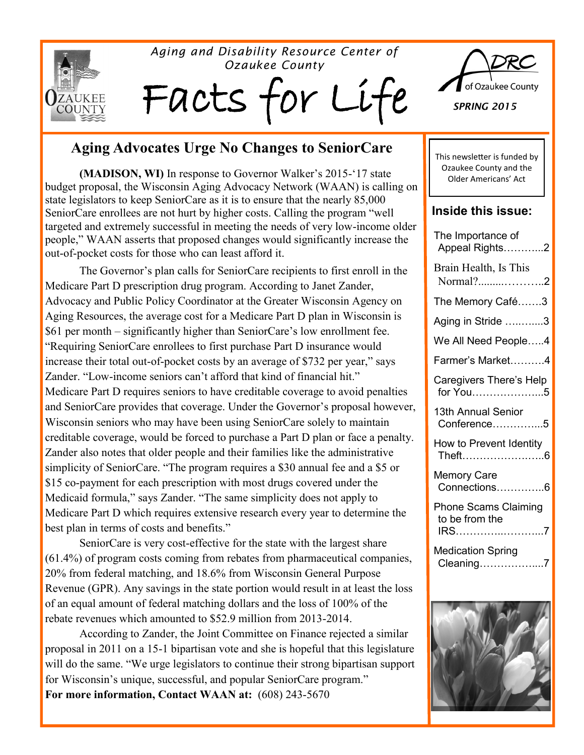

#### *Aging and Disability Resource Center of Ozaukee County*

Facts for Li



*SPRING 2015*

## **Aging Advocates Urge No Changes to SeniorCare**

**(MADISON, WI)** In response to Governor Walker's 2015-'17 state budget proposal, the Wisconsin Aging Advocacy Network (WAAN) is calling on state legislators to keep SeniorCare as it is to ensure that the nearly 85,000 SeniorCare enrollees are not hurt by higher costs. Calling the program "well targeted and extremely successful in meeting the needs of very low-income older people," WAAN asserts that proposed changes would significantly increase the out-of-pocket costs for those who can least afford it.

The Governor's plan calls for SeniorCare recipients to first enroll in the Medicare Part D prescription drug program. According to Janet Zander, Advocacy and Public Policy Coordinator at the Greater Wisconsin Agency on Aging Resources, the average cost for a Medicare Part D plan in Wisconsin is \$61 per month – significantly higher than SeniorCare's low enrollment fee. "Requiring SeniorCare enrollees to first purchase Part D insurance would increase their total out-of-pocket costs by an average of \$732 per year," says Zander. "Low-income seniors can't afford that kind of financial hit." Medicare Part D requires seniors to have creditable coverage to avoid penalties and SeniorCare provides that coverage. Under the Governor's proposal however, Wisconsin seniors who may have been using SeniorCare solely to maintain creditable coverage, would be forced to purchase a Part D plan or face a penalty. Zander also notes that older people and their families like the administrative simplicity of SeniorCare. "The program requires a \$30 annual fee and a \$5 or \$15 co-payment for each prescription with most drugs covered under the Medicaid formula," says Zander. "The same simplicity does not apply to Medicare Part D which requires extensive research every year to determine the best plan in terms of costs and benefits."

SeniorCare is very cost-effective for the state with the largest share (61.4%) of program costs coming from rebates from pharmaceutical companies, 20% from federal matching, and 18.6% from Wisconsin General Purpose Revenue (GPR). Any savings in the state portion would result in at least the loss of an equal amount of federal matching dollars and the loss of 100% of the rebate revenues which amounted to \$52.9 million from 2013-2014.

According to Zander, the Joint Committee on Finance rejected a similar proposal in 2011 on a 15-1 bipartisan vote and she is hopeful that this legislature will do the same. "We urge legislators to continue their strong bipartisan support for Wisconsin's unique, successful, and popular SeniorCare program." **For more information, Contact WAAN at:** (608) 243-5670

This newsletter is funded by Ozaukee County and the Older Americans' Act

#### **Inside this issue:**

| The Importance of<br>Appeal Rights2                   |
|-------------------------------------------------------|
| Brain Health, Is This<br>Normal?2                     |
| The Memory Café3                                      |
| Aging in Stride 3                                     |
| We All Need People4                                   |
| Farmer's Market4                                      |
| Caregivers There's Help<br>for You5                   |
| 13th Annual Senior<br>Conference5                     |
| How to Prevent Identity<br>Theft6                     |
| <b>Memory Care</b><br>Connections6                    |
| <b>Phone Scams Claiming</b><br>to be from the<br>IRS7 |
| <b>Medication Spring</b><br>Cleaning7                 |
| $-441$                                                |

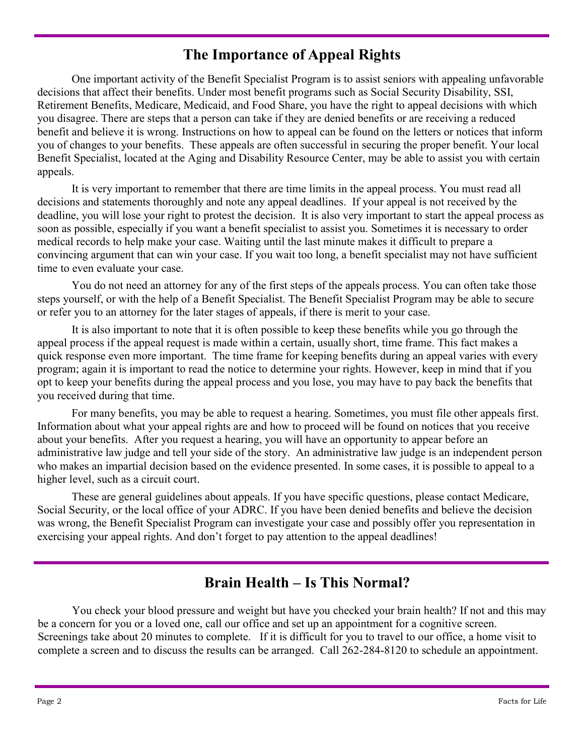# **The Importance of Appeal Rights**

One important activity of the Benefit Specialist Program is to assist seniors with appealing unfavorable decisions that affect their benefits. Under most benefit programs such as Social Security Disability, SSI, Retirement Benefits, Medicare, Medicaid, and Food Share, you have the right to appeal decisions with which you disagree. There are steps that a person can take if they are denied benefits or are receiving a reduced benefit and believe it is wrong. Instructions on how to appeal can be found on the letters or notices that inform you of changes to your benefits. These appeals are often successful in securing the proper benefit. Your local Benefit Specialist, located at the Aging and Disability Resource Center, may be able to assist you with certain appeals.

It is very important to remember that there are time limits in the appeal process. You must read all decisions and statements thoroughly and note any appeal deadlines. If your appeal is not received by the deadline, you will lose your right to protest the decision. It is also very important to start the appeal process as soon as possible, especially if you want a benefit specialist to assist you. Sometimes it is necessary to order medical records to help make your case. Waiting until the last minute makes it difficult to prepare a convincing argument that can win your case. If you wait too long, a benefit specialist may not have sufficient time to even evaluate your case.

You do not need an attorney for any of the first steps of the appeals process. You can often take those steps yourself, or with the help of a Benefit Specialist. The Benefit Specialist Program may be able to secure or refer you to an attorney for the later stages of appeals, if there is merit to your case.

It is also important to note that it is often possible to keep these benefits while you go through the appeal process if the appeal request is made within a certain, usually short, time frame. This fact makes a quick response even more important. The time frame for keeping benefits during an appeal varies with every program; again it is important to read the notice to determine your rights. However, keep in mind that if you opt to keep your benefits during the appeal process and you lose, you may have to pay back the benefits that you received during that time.

For many benefits, you may be able to request a hearing. Sometimes, you must file other appeals first. Information about what your appeal rights are and how to proceed will be found on notices that you receive about your benefits. After you request a hearing, you will have an opportunity to appear before an administrative law judge and tell your side of the story. An administrative law judge is an independent person who makes an impartial decision based on the evidence presented. In some cases, it is possible to appeal to a higher level, such as a circuit court.

These are general guidelines about appeals. If you have specific questions, please contact Medicare, Social Security, or the local office of your ADRC. If you have been denied benefits and believe the decision was wrong, the Benefit Specialist Program can investigate your case and possibly offer you representation in exercising your appeal rights. And don't forget to pay attention to the appeal deadlines!

## **Brain Health – Is This Normal?**

You check your blood pressure and weight but have you checked your brain health? If not and this may be a concern for you or a loved one, call our office and set up an appointment for a cognitive screen. Screenings take about 20 minutes to complete. If it is difficult for you to travel to our office, a home visit to complete a screen and to discuss the results can be arranged. Call 262-284-8120 to schedule an appointment.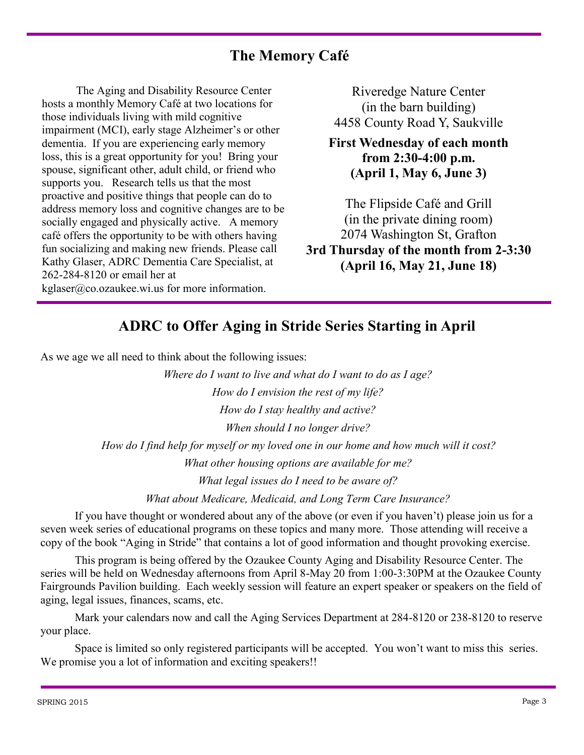## **The Memory Café**

The Aging and Disability Resource Center hosts a monthly Memory Café at two locations for those individuals living with mild cognitive impairment (MCI), early stage Alzheimer's or other dementia. If you are experiencing early memory loss, this is a great opportunity for you! Bring your spouse, significant other, adult child, or friend who supports you. Research tells us that the most proactive and positive things that people can do to address memory loss and cognitive changes are to be socially engaged and physically active. A memory café offers the opportunity to be with others having fun socializing and making new friends. Please call Kathy Glaser, ADRC Dementia Care Specialist, at 262-284-8120 or email her at kglaser@co.ozaukee.wi.us for more information.

Riveredge Nature Center (in the barn building) 4458 County Road Y, Saukville

**First Wednesday of each month from 2:30-4:00 p.m. (April 1, May 6, June 3)** 

The Flipside Café and Grill (in the private dining room) 2074 Washington St, Grafton **3rd Thursday of the month from 2-3:30 (April 16, May 21, June 18)**

### **ADRC to Offer Aging in Stride Series Starting in April**

As we age we all need to think about the following issues:

 *Where do I want to live and what do I want to do as I age? How do I envision the rest of my life? How do I stay healthy and active? When should I no longer drive? How do I find help for myself or my loved one in our home and how much will it cost? What other housing options are available for me?*

 *What legal issues do I need to be aware of?*

 *What about Medicare, Medicaid, and Long Term Care Insurance?*

If you have thought or wondered about any of the above (or even if you haven't) please join us for a seven week series of educational programs on these topics and many more. Those attending will receive a copy of the book "Aging in Stride" that contains a lot of good information and thought provoking exercise.

This program is being offered by the Ozaukee County Aging and Disability Resource Center. The series will be held on Wednesday afternoons from April 8-May 20 from 1:00-3:30PM at the Ozaukee County Fairgrounds Pavilion building. Each weekly session will feature an expert speaker or speakers on the field of aging, legal issues, finances, scams, etc.

Mark your calendars now and call the Aging Services Department at 284-8120 or 238-8120 to reserve your place.

Space is limited so only registered participants will be accepted. You won't want to miss this series. We promise you a lot of information and exciting speakers!!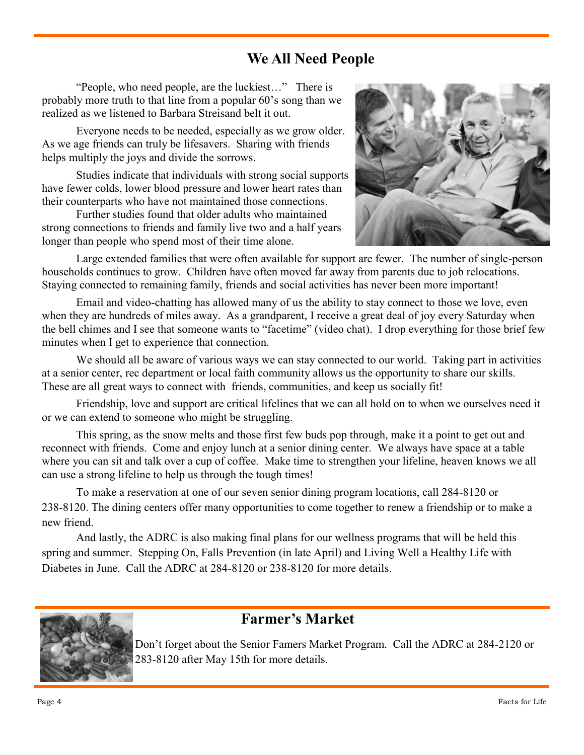## **We All Need People**

"People, who need people, are the luckiest…" There is probably more truth to that line from a popular 60's song than we realized as we listened to Barbara Streisand belt it out.

Everyone needs to be needed, especially as we grow older. As we age friends can truly be lifesavers. Sharing with friends helps multiply the joys and divide the sorrows.

Studies indicate that individuals with strong social supports have fewer colds, lower blood pressure and lower heart rates than their counterparts who have not maintained those connections.

Further studies found that older adults who maintained strong connections to friends and family live two and a half years longer than people who spend most of their time alone.



Large extended families that were often available for support are fewer. The number of single-person households continues to grow. Children have often moved far away from parents due to job relocations. Staying connected to remaining family, friends and social activities has never been more important!

Email and video-chatting has allowed many of us the ability to stay connect to those we love, even when they are hundreds of miles away. As a grandparent, I receive a great deal of joy every Saturday when the bell chimes and I see that someone wants to "facetime" (video chat). I drop everything for those brief few minutes when I get to experience that connection.

We should all be aware of various ways we can stay connected to our world. Taking part in activities at a senior center, rec department or local faith community allows us the opportunity to share our skills. These are all great ways to connect with friends, communities, and keep us socially fit!

Friendship, love and support are critical lifelines that we can all hold on to when we ourselves need it or we can extend to someone who might be struggling.

This spring, as the snow melts and those first few buds pop through, make it a point to get out and reconnect with friends. Come and enjoy lunch at a senior dining center. We always have space at a table where you can sit and talk over a cup of coffee. Make time to strengthen your lifeline, heaven knows we all can use a strong lifeline to help us through the tough times!

To make a reservation at one of our seven senior dining program locations, call 284-8120 or 238-8120. The dining centers offer many opportunities to come together to renew a friendship or to make a new friend.

And lastly, the ADRC is also making final plans for our wellness programs that will be held this spring and summer. Stepping On, Falls Prevention (in late April) and Living Well a Healthy Life with Diabetes in June. Call the ADRC at 284-8120 or 238-8120 for more details.



### **Farmer's Market**

Don't forget about the Senior Famers Market Program. Call the ADRC at 284-2120 or 283-8120 after May 15th for more details.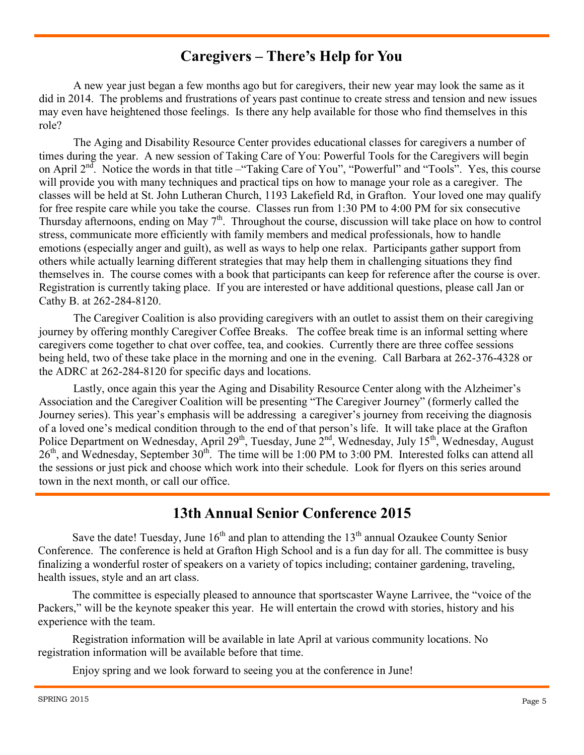## **Caregivers – There's Help for You**

A new year just began a few months ago but for caregivers, their new year may look the same as it did in 2014. The problems and frustrations of years past continue to create stress and tension and new issues may even have heightened those feelings. Is there any help available for those who find themselves in this role?

The Aging and Disability Resource Center provides educational classes for caregivers a number of times during the year. A new session of Taking Care of You: Powerful Tools for the Caregivers will begin on April  $2<sup>nd</sup>$ . Notice the words in that title –"Taking Care of You", "Powerful" and "Tools". Yes, this course will provide you with many techniques and practical tips on how to manage your role as a caregiver. The classes will be held at St. John Lutheran Church, 1193 Lakefield Rd, in Grafton. Your loved one may qualify for free respite care while you take the course. Classes run from 1:30 PM to 4:00 PM for six consecutive Thursday afternoons, ending on May 7<sup>th</sup>. Throughout the course, discussion will take place on how to control stress, communicate more efficiently with family members and medical professionals, how to handle emotions (especially anger and guilt), as well as ways to help one relax. Participants gather support from others while actually learning different strategies that may help them in challenging situations they find themselves in. The course comes with a book that participants can keep for reference after the course is over. Registration is currently taking place. If you are interested or have additional questions, please call Jan or Cathy B. at 262-284-8120.

The Caregiver Coalition is also providing caregivers with an outlet to assist them on their caregiving journey by offering monthly Caregiver Coffee Breaks. The coffee break time is an informal setting where caregivers come together to chat over coffee, tea, and cookies. Currently there are three coffee sessions being held, two of these take place in the morning and one in the evening. Call Barbara at 262-376-4328 or the ADRC at 262-284-8120 for specific days and locations.

Lastly, once again this year the Aging and Disability Resource Center along with the Alzheimer's Association and the Caregiver Coalition will be presenting "The Caregiver Journey" (formerly called the Journey series). This year's emphasis will be addressing a caregiver's journey from receiving the diagnosis of a loved one's medical condition through to the end of that person's life. It will take place at the Grafton Police Department on Wednesday, April 29<sup>th</sup>, Tuesday, June  $2<sup>nd</sup>$ , Wednesday, July 15<sup>th</sup>, Wednesday, August 26<sup>th</sup>, and Wednesday, September 30<sup>th</sup>. The time will be 1:00 PM to 3:00 PM. Interested folks can attend all the sessions or just pick and choose which work into their schedule. Look for flyers on this series around town in the next month, or call our office.

### **13th Annual Senior Conference 2015**

Save the date! Tuesday, June  $16<sup>th</sup>$  and plan to attending the  $13<sup>th</sup>$  annual Ozaukee County Senior Conference. The conference is held at Grafton High School and is a fun day for all. The committee is busy finalizing a wonderful roster of speakers on a variety of topics including; container gardening, traveling, health issues, style and an art class.

The committee is especially pleased to announce that sportscaster Wayne Larrivee, the "voice of the Packers," will be the keynote speaker this year. He will entertain the crowd with stories, history and his experience with the team.

Registration information will be available in late April at various community locations. No registration information will be available before that time.

Enjoy spring and we look forward to seeing you at the conference in June!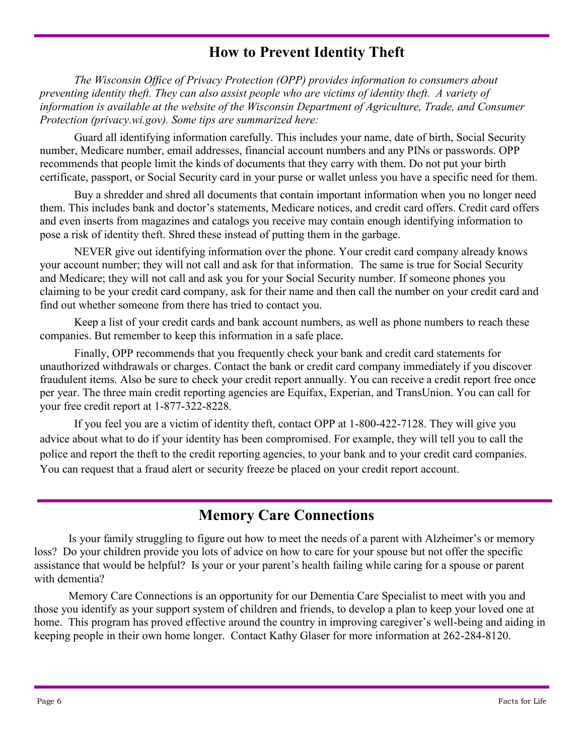## **How to Prevent Identity Theft**

*The Wisconsin Office of Privacy Protection (OPP) provides information to consumers about preventing identity theft. They can also assist people who are victims of identity theft. A variety of information is available at the website of the Wisconsin Department of Agriculture, Trade, and Consumer Protection (privacy.wi.gov). Some tips are summarized here:*

Guard all identifying information carefully. This includes your name, date of birth, Social Security number, Medicare number, email addresses, financial account numbers and any PINs or passwords. OPP recommends that people limit the kinds of documents that they carry with them. Do not put your birth certificate, passport, or Social Security card in your purse or wallet unless you have a specific need for them.

Buy a shredder and shred all documents that contain important information when you no longer need them. This includes bank and doctor's statements, Medicare notices, and credit card offers. Credit card offers and even inserts from magazines and catalogs you receive may contain enough identifying information to pose a risk of identity theft. Shred these instead of putting them in the garbage.

NEVER give out identifying information over the phone. Your credit card company already knows your account number; they will not call and ask for that information. The same is true for Social Security and Medicare; they will not call and ask you for your Social Security number. If someone phones you claiming to be your credit card company, ask for their name and then call the number on your credit card and find out whether someone from there has tried to contact you.

Keep a list of your credit cards and bank account numbers, as well as phone numbers to reach these companies. But remember to keep this information in a safe place.

Finally, OPP recommends that you frequently check your bank and credit card statements for unauthorized withdrawals or charges. Contact the bank or credit card company immediately if you discover fraudulent items. Also be sure to check your credit report annually. You can receive a credit report free once per year. The three main credit reporting agencies are Equifax, Experian, and TransUnion. You can call for your free credit report at 1-877-322-8228.

If you feel you are a victim of identity theft, contact OPP at 1-800-422-7128. They will give you advice about what to do if your identity has been compromised. For example, they will tell you to call the police and report the theft to the credit reporting agencies, to your bank and to your credit card companies. You can request that a fraud alert or security freeze be placed on your credit report account.

## **Memory Care Connections**

Is your family struggling to figure out how to meet the needs of a parent with Alzheimer's or memory loss? Do your children provide you lots of advice on how to care for your spouse but not offer the specific assistance that would be helpful? Is your or your parent's health failing while caring for a spouse or parent with dementia?

Memory Care Connections is an opportunity for our Dementia Care Specialist to meet with you and those you identify as your support system of children and friends, to develop a plan to keep your loved one at home. This program has proved effective around the country in improving caregiver's well-being and aiding in keeping people in their own home longer. Contact Kathy Glaser for more information at 262-284-8120.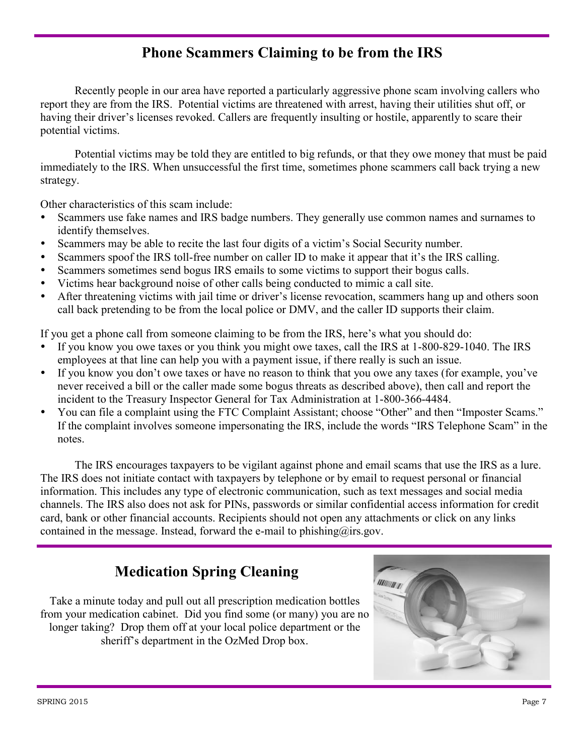# **Phone Scammers Claiming to be from the IRS**

Recently people in our area have reported a particularly aggressive phone scam involving callers who report they are from the IRS. Potential victims are threatened with arrest, having their utilities shut off, or having their driver's licenses revoked. Callers are frequently insulting or hostile, apparently to scare their potential victims.

Potential victims may be told they are entitled to big refunds, or that they owe money that must be paid immediately to the IRS. When unsuccessful the first time, sometimes phone scammers call back trying a new strategy.

Other characteristics of this scam include:

- Scammers use fake names and IRS badge numbers. They generally use common names and surnames to identify themselves.
- Scammers may be able to recite the last four digits of a victim's Social Security number.
- Scammers spoof the IRS toll-free number on caller ID to make it appear that it's the IRS calling.
- Scammers sometimes send bogus IRS emails to some victims to support their bogus calls.
- Victims hear background noise of other calls being conducted to mimic a call site.
- After threatening victims with jail time or driver's license revocation, scammers hang up and others soon call back pretending to be from the local police or DMV, and the caller ID supports their claim.

If you get a phone call from someone claiming to be from the IRS, here's what you should do:

- If you know you owe taxes or you think you might owe taxes, call the IRS at 1-800-829-1040. The IRS employees at that line can help you with a payment issue, if there really is such an issue.
- If you know you don't owe taxes or have no reason to think that you owe any taxes (for example, you've never received a bill or the caller made some bogus threats as described above), then call and report the incident to the Treasury Inspector General for Tax Administration at 1-800-366-4484.
- You can file a complaint using the [FTC Complaint Assistant;](http://apps.irs.gov/app/scripts/exit.jsp?dest=https://www.ftccomplaintassistant.gov/FTC_Wizard.aspx?Lang=en&OrgCode=IRS) choose "Other" and then "Imposter Scams." If the complaint involves someone impersonating the IRS, include the words "IRS Telephone Scam" in the notes.

The IRS encourages taxpayers to be vigilant against phone and email scams that use the IRS as a lure. The IRS does not initiate contact with taxpayers by telephone or by email to request personal or financial information. This includes any type of electronic communication, such as text messages and social media channels. The IRS also does not ask for PINs, passwords or similar confidential access information for credit card, bank or other financial accounts. Recipients should not open any attachments or click on any links contained in the message. Instead, forward the e-mail to phishing@irs.gov.

## **Medication Spring Cleaning**

Take a minute today and pull out all prescription medication bottles from your medication cabinet. Did you find some (or many) you are no longer taking? Drop them off at your local police department or the sheriff's department in the OzMed Drop box.